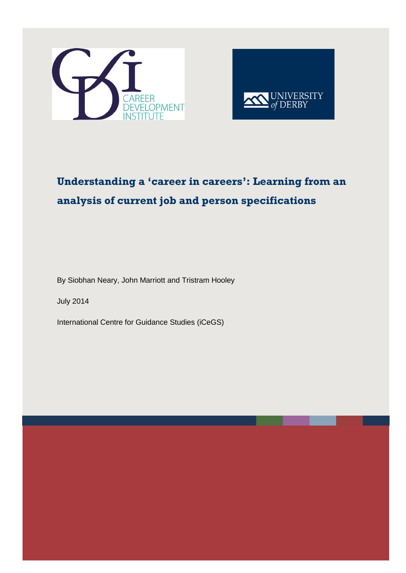



# **Understanding a 'career in careers': Learning from an analysis of current job and person specifications**

By Siobhan Neary, John Marriott and Tristram Hooley

July 2014

International Centre for Guidance Studies (iCeGS)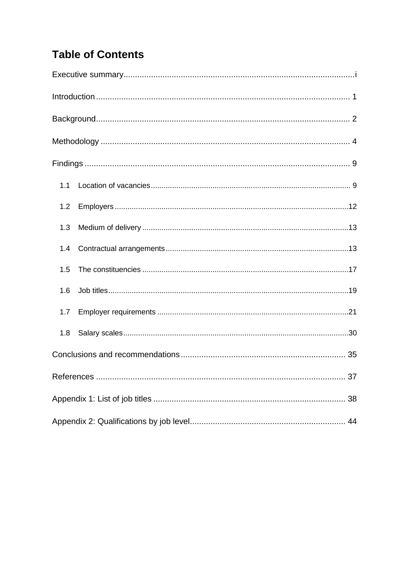# **Table of Contents**

| 1.1 |  |
|-----|--|
| 1.2 |  |
| 1.3 |  |
| 1.4 |  |
| 1.5 |  |
| 1.6 |  |
| 1.7 |  |
| 1.8 |  |
|     |  |
|     |  |
|     |  |
|     |  |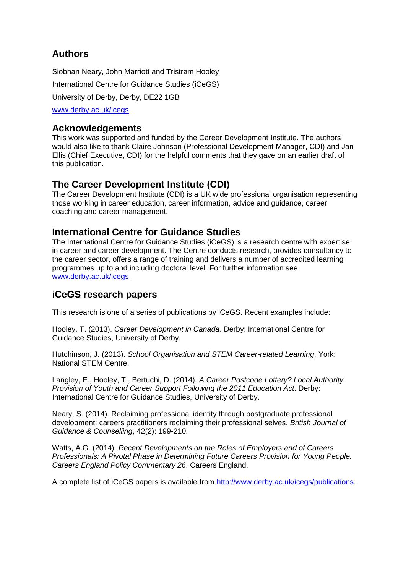# **Authors**

Siobhan Neary, John Marriott and Tristram Hooley International Centre for Guidance Studies (iCeGS) University of Derby, Derby, DE22 1GB [www.derby.ac.uk/icegs](http://www.derby.ac.uk/icegs)

## **Acknowledgements**

This work was supported and funded by the Career Development Institute. The authors would also like to thank Claire Johnson (Professional Development Manager, CDI) and Jan Ellis (Chief Executive, CDI) for the helpful comments that they gave on an earlier draft of this publication.

# **The Career Development Institute (CDI)**

The Career Development Institute (CDI) is a UK wide professional organisation representing those working in career education, career information, advice and guidance, career coaching and career management.

## **International Centre for Guidance Studies**

The International Centre for Guidance Studies (iCeGS) is a research centre with expertise in career and career development. The Centre conducts research, provides consultancy to the career sector, offers a range of training and delivers a number of accredited learning programmes up to and including doctoral level. For further information see [www.derby.ac.uk/icegs](http://www.derby.ac.uk/icegs)

# **iCeGS research papers**

This research is one of a series of publications by iCeGS. Recent examples include:

Hooley, T. (2013). *[Career Development in Canada](http://derby.openrepository.com/derby/handle/10545/305530)*. Derby: International Centre for Guidance Studies, University of Derby.

Hutchinson, J. (2013). *School Organisation and STEM Career-related Learning*. York: National STEM Centre.

Langley, E., Hooley, T., Bertuchi, D. (2014). *A Career Postcode Lottery? Local Authority Provision of Youth and Career Support Following the 2011 Education Act*. Derby: International Centre for Guidance Studies, University of Derby.

Neary, S. (2014). Reclaiming professional identity through postgraduate professional development: careers practitioners reclaiming their professional selves. *British Journal of Guidance & Counselling*, 42(2): 199-210.

Watts, A.G. (2014). *Recent Developments on the Roles of Employers and of Careers Professionals: A Pivotal Phase in Determining Future Careers Provision for Young People. Careers England Policy Commentary 26*. Careers England.

A complete list of iCeGS papers is available from [http://www.derby.ac.uk/icegs/publications.](http://www.derby.ac.uk/icegs/publications)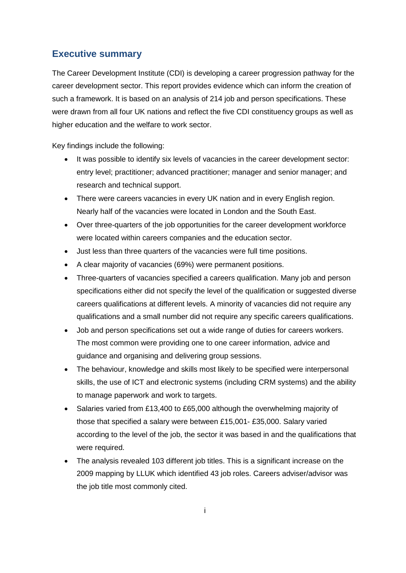## **Executive summary**

The Career Development Institute (CDI) is developing a career progression pathway for the career development sector. This report provides evidence which can inform the creation of such a framework. It is based on an analysis of 214 job and person specifications. These were drawn from all four UK nations and reflect the five CDI constituency groups as well as higher education and the welfare to work sector.

Key findings include the following:

- It was possible to identify six levels of vacancies in the career development sector: entry level; practitioner; advanced practitioner; manager and senior manager; and research and technical support.
- There were careers vacancies in every UK nation and in every English region. Nearly half of the vacancies were located in London and the South East.
- Over three-quarters of the job opportunities for the career development workforce were located within careers companies and the education sector.
- Just less than three quarters of the vacancies were full time positions.
- A clear majority of vacancies (69%) were permanent positions.
- Three-quarters of vacancies specified a careers qualification. Many job and person specifications either did not specify the level of the qualification or suggested diverse careers qualifications at different levels. A minority of vacancies did not require any qualifications and a small number did not require any specific careers qualifications.
- Job and person specifications set out a wide range of duties for careers workers. The most common were providing one to one career information, advice and guidance and organising and delivering group sessions.
- The behaviour, knowledge and skills most likely to be specified were interpersonal skills, the use of ICT and electronic systems (including CRM systems) and the ability to manage paperwork and work to targets.
- Salaries varied from £13,400 to £65,000 although the overwhelming majority of those that specified a salary were between £15,001- £35,000. Salary varied according to the level of the job, the sector it was based in and the qualifications that were required.
- The analysis revealed 103 different job titles. This is a significant increase on the 2009 mapping by LLUK which identified 43 job roles. Careers adviser/advisor was the job title most commonly cited.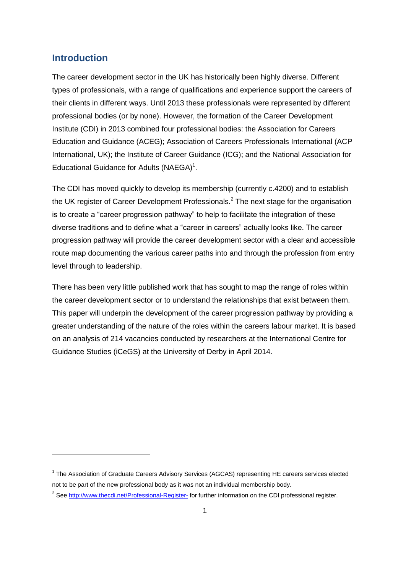## **Introduction**

-

The career development sector in the UK has historically been highly diverse. Different types of professionals, with a range of qualifications and experience support the careers of their clients in different ways. Until 2013 these professionals were represented by different professional bodies (or by none). However, the formation of the Career Development Institute (CDI) in 2013 combined four professional bodies: the Association for Careers Education and Guidance (ACEG); Association of Careers Professionals International (ACP International, UK); the Institute of Career Guidance (ICG); and the National Association for Educational Guidance for Adults (NAEGA)<sup>1</sup>.

The CDI has moved quickly to develop its membership (currently c.4200) and to establish the UK register of Career Development Professionals.<sup>2</sup> The next stage for the organisation is to create a "career progression pathway" to help to facilitate the integration of these diverse traditions and to define what a "career in careers" actually looks like. The career progression pathway will provide the career development sector with a clear and accessible route map documenting the various career paths into and through the profession from entry level through to leadership.

There has been very little published work that has sought to map the range of roles within the career development sector or to understand the relationships that exist between them. This paper will underpin the development of the career progression pathway by providing a greater understanding of the nature of the roles within the careers labour market. It is based on an analysis of 214 vacancies conducted by researchers at the International Centre for Guidance Studies (iCeGS) at the University of Derby in April 2014.

<sup>&</sup>lt;sup>1</sup> The Association of Graduate Careers Advisory Services (AGCAS) representing HE careers services elected not to be part of the new professional body as it was not an individual membership body.

<sup>&</sup>lt;sup>2</sup> See<http://www.thecdi.net/Professional-Register-> for further information on the CDI professional register.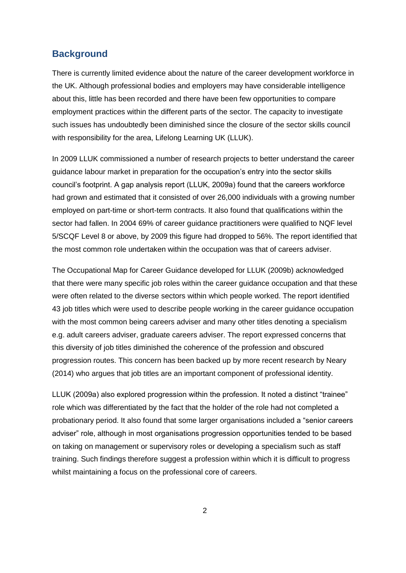## **Background**

There is currently limited evidence about the nature of the career development workforce in the UK. Although professional bodies and employers may have considerable intelligence about this, little has been recorded and there have been few opportunities to compare employment practices within the different parts of the sector. The capacity to investigate such issues has undoubtedly been diminished since the closure of the sector skills council with responsibility for the area, Lifelong Learning UK (LLUK).

In 2009 LLUK commissioned a number of research projects to better understand the career guidance labour market in preparation for the occupation's entry into the sector skills council's footprint. A gap analysis report (LLUK, 2009a) found that the careers workforce had grown and estimated that it consisted of over 26,000 individuals with a growing number employed on part-time or short-term contracts. It also found that qualifications within the sector had fallen. In 2004 69% of career guidance practitioners were qualified to NQF level 5/SCQF Level 8 or above, by 2009 this figure had dropped to 56%. The report identified that the most common role undertaken within the occupation was that of careers adviser.

The Occupational Map for Career Guidance developed for LLUK (2009b) acknowledged that there were many specific job roles within the career guidance occupation and that these were often related to the diverse sectors within which people worked. The report identified 43 job titles which were used to describe people working in the career guidance occupation with the most common being careers adviser and many other titles denoting a specialism e.g. adult careers adviser, graduate careers adviser. The report expressed concerns that this diversity of job titles diminished the coherence of the profession and obscured progression routes. This concern has been backed up by more recent research by Neary (2014) who argues that job titles are an important component of professional identity.

LLUK (2009a) also explored progression within the profession. It noted a distinct "trainee" role which was differentiated by the fact that the holder of the role had not completed a probationary period. It also found that some larger organisations included a "senior careers adviser" role, although in most organisations progression opportunities tended to be based on taking on management or supervisory roles or developing a specialism such as staff training. Such findings therefore suggest a profession within which it is difficult to progress whilst maintaining a focus on the professional core of careers.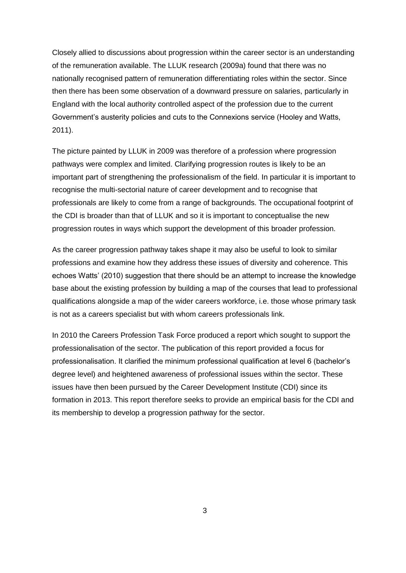Closely allied to discussions about progression within the career sector is an understanding of the remuneration available. The LLUK research (2009a) found that there was no nationally recognised pattern of remuneration differentiating roles within the sector. Since then there has been some observation of a downward pressure on salaries, particularly in England with the local authority controlled aspect of the profession due to the current Government's austerity policies and cuts to the Connexions service (Hooley and Watts, 2011).

The picture painted by LLUK in 2009 was therefore of a profession where progression pathways were complex and limited. Clarifying progression routes is likely to be an important part of strengthening the professionalism of the field. In particular it is important to recognise the multi-sectorial nature of career development and to recognise that professionals are likely to come from a range of backgrounds. The occupational footprint of the CDI is broader than that of LLUK and so it is important to conceptualise the new progression routes in ways which support the development of this broader profession.

As the career progression pathway takes shape it may also be useful to look to similar professions and examine how they address these issues of diversity and coherence. This echoes Watts' (2010) suggestion that there should be an attempt to increase the knowledge base about the existing profession by building a map of the courses that lead to professional qualifications alongside a map of the wider careers workforce, i.e. those whose primary task is not as a careers specialist but with whom careers professionals link.

In 2010 the Careers Profession Task Force produced a report which sought to support the professionalisation of the sector. The publication of this report provided a focus for professionalisation. It clarified the minimum professional qualification at level 6 (bachelor's degree level) and heightened awareness of professional issues within the sector. These issues have then been pursued by the Career Development Institute (CDI) since its formation in 2013. This report therefore seeks to provide an empirical basis for the CDI and its membership to develop a progression pathway for the sector.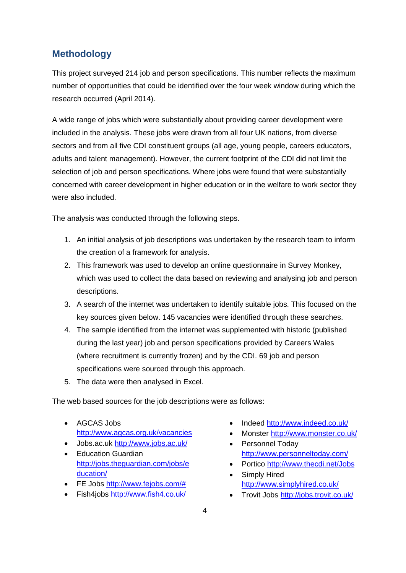## **Methodology**

This project surveyed 214 job and person specifications. This number reflects the maximum number of opportunities that could be identified over the four week window during which the research occurred (April 2014).

A wide range of jobs which were substantially about providing career development were included in the analysis. These jobs were drawn from all four UK nations, from diverse sectors and from all five CDI constituent groups (all age, young people, careers educators, adults and talent management). However, the current footprint of the CDI did not limit the selection of job and person specifications. Where jobs were found that were substantially concerned with career development in higher education or in the welfare to work sector they were also included.

The analysis was conducted through the following steps.

- 1. An initial analysis of job descriptions was undertaken by the research team to inform the creation of a framework for analysis.
- 2. This framework was used to develop an online questionnaire in Survey Monkey, which was used to collect the data based on reviewing and analysing job and person descriptions.
- 3. A search of the internet was undertaken to identify suitable jobs. This focused on the key sources given below. 145 vacancies were identified through these searches.
- 4. The sample identified from the internet was supplemented with historic (published during the last year) job and person specifications provided by Careers Wales (where recruitment is currently frozen) and by the CDI. 69 job and person specifications were sourced through this approach.
- 5. The data were then analysed in Excel.

The web based sources for the job descriptions were as follows:

- AGCAS Jobs <http://www.agcas.org.uk/vacancies>
- Jobs.ac.uk <http://www.jobs.ac.uk/>
- Education Guardian [http://jobs.theguardian.com/jobs/e](http://jobs.theguardian.com/jobs/education/) [ducation/](http://jobs.theguardian.com/jobs/education/)
- FE Jobs [http://www.fejobs.com/#](http://www.fejobs.com/)
- Fish4jobs <http://www.fish4.co.uk/>
- Indeed http://www.indeed.co.uk/
- Monster <http://www.monster.co.uk/>
- Personnel Todav <http://www.personneltoday.com/>
- Portico <http://www.thecdi.net/Jobs>
- Simply Hired <http://www.simplyhired.co.uk/>
- Trovit Jobs <http://jobs.trovit.co.uk/>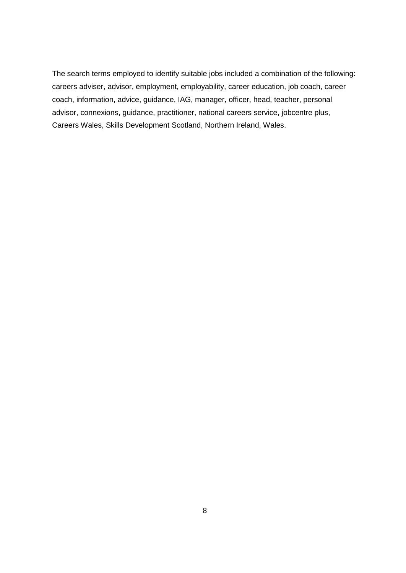The search terms employed to identify suitable jobs included a combination of the following: careers adviser, advisor, employment, employability, career education, job coach, career coach, information, advice, guidance, IAG, manager, officer, head, teacher, personal advisor, connexions, guidance, practitioner, national careers service, jobcentre plus, Careers Wales, Skills Development Scotland, Northern Ireland, Wales.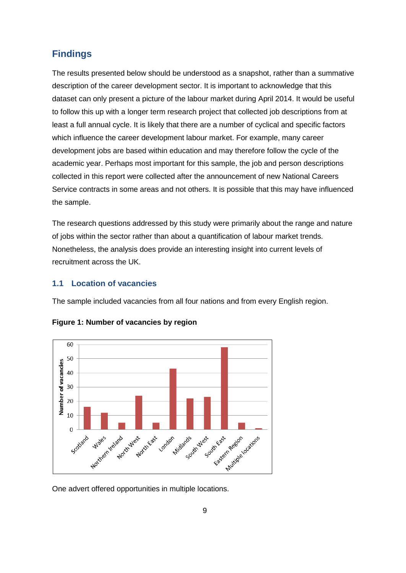## **Findings**

The results presented below should be understood as a snapshot, rather than a summative description of the career development sector. It is important to acknowledge that this dataset can only present a picture of the labour market during April 2014. It would be useful to follow this up with a longer term research project that collected job descriptions from at least a full annual cycle. It is likely that there are a number of cyclical and specific factors which influence the career development labour market. For example, many career development jobs are based within education and may therefore follow the cycle of the academic year. Perhaps most important for this sample, the job and person descriptions collected in this report were collected after the announcement of new National Careers Service contracts in some areas and not others. It is possible that this may have influenced the sample.

The research questions addressed by this study were primarily about the range and nature of jobs within the sector rather than about a quantification of labour market trends. Nonetheless, the analysis does provide an interesting insight into current levels of recruitment across the UK.

### **1.1 Location of vacancies**

The sample included vacancies from all four nations and from every English region.



**Figure 1: Number of vacancies by region**

One advert offered opportunities in multiple locations.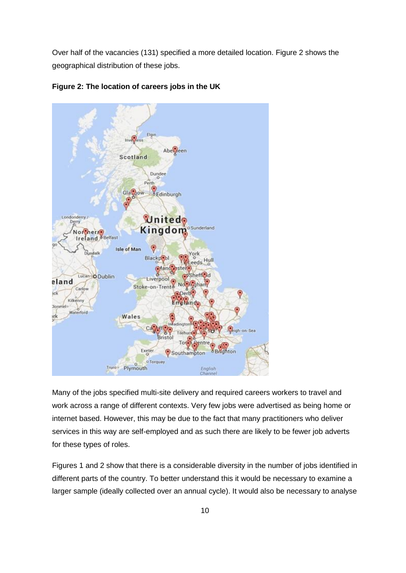Over half of the vacancies (131) specified a more detailed location. Figure 2 shows the geographical distribution of these jobs.



**Figure 2: The location of careers jobs in the UK**

Many of the jobs specified multi-site delivery and required careers workers to travel and work across a range of different contexts. Very few jobs were advertised as being home or internet based. However, this may be due to the fact that many practitioners who deliver services in this way are self-employed and as such there are likely to be fewer job adverts for these types of roles.

Figures 1 and 2 show that there is a considerable diversity in the number of jobs identified in different parts of the country. To better understand this it would be necessary to examine a larger sample (ideally collected over an annual cycle). It would also be necessary to analyse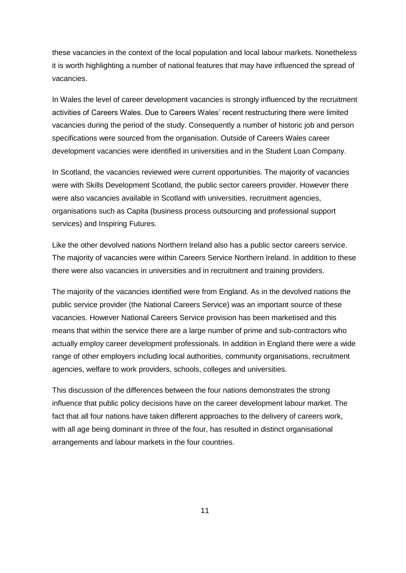these vacancies in the context of the local population and local labour markets. Nonetheless it is worth highlighting a number of national features that may have influenced the spread of vacancies.

In Wales the level of career development vacancies is strongly influenced by the recruitment activities of Careers Wales. Due to Careers Wales' recent restructuring there were limited vacancies during the period of the study. Consequently a number of historic job and person specifications were sourced from the organisation. Outside of Careers Wales career development vacancies were identified in universities and in the Student Loan Company.

In Scotland, the vacancies reviewed were current opportunities. The majority of vacancies were with Skills Development Scotland, the public sector careers provider. However there were also vacancies available in Scotland with universities, recruitment agencies, organisations such as Capita (business process outsourcing and professional support services) and Inspiring Futures.

Like the other devolved nations Northern Ireland also has a public sector careers service. The majority of vacancies were within Careers Service Northern Ireland. In addition to these there were also vacancies in universities and in recruitment and training providers.

The majority of the vacancies identified were from England. As in the devolved nations the public service provider (the National Careers Service) was an important source of these vacancies. However National Careers Service provision has been marketised and this means that within the service there are a large number of prime and sub-contractors who actually employ career development professionals. In addition in England there were a wide range of other employers including local authorities, community organisations, recruitment agencies, welfare to work providers, schools, colleges and universities.

This discussion of the differences between the four nations demonstrates the strong influence that public policy decisions have on the career development labour market. The fact that all four nations have taken different approaches to the delivery of careers work, with all age being dominant in three of the four, has resulted in distinct organisational arrangements and labour markets in the four countries.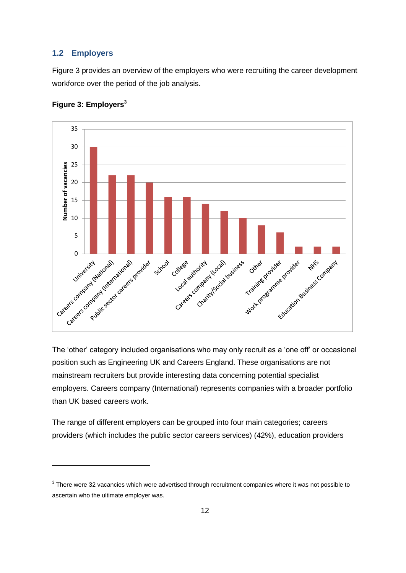#### **1.2 Employers**

Figure 3 provides an overview of the employers who were recruiting the career development workforce over the period of the job analysis.



#### **Figure 3: Employers<sup>3</sup>**

-

The 'other' category included organisations who may only recruit as a 'one off' or occasional position such as Engineering UK and Careers England. These organisations are not mainstream recruiters but provide interesting data concerning potential specialist employers. Careers company (International) represents companies with a broader portfolio than UK based careers work.

The range of different employers can be grouped into four main categories; careers providers (which includes the public sector careers services) (42%), education providers

 $3$  There were 32 vacancies which were advertised through recruitment companies where it was not possible to ascertain who the ultimate employer was.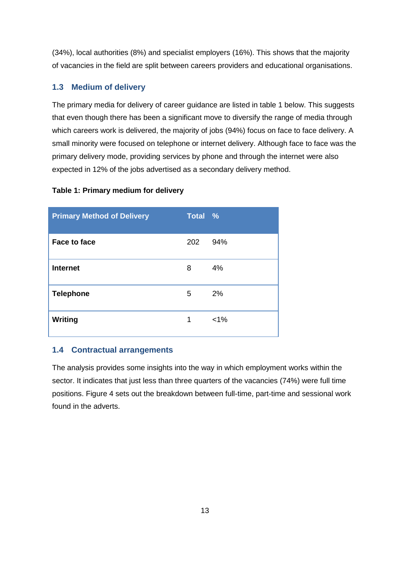(34%), local authorities (8%) and specialist employers (16%). This shows that the majority of vacancies in the field are split between careers providers and educational organisations.

### **1.3 Medium of delivery**

The primary media for delivery of career guidance are listed in table 1 below. This suggests that even though there has been a significant move to diversify the range of media through which careers work is delivered, the majority of jobs (94%) focus on face to face delivery. A small minority were focused on telephone or internet delivery. Although face to face was the primary delivery mode, providing services by phone and through the internet were also expected in 12% of the jobs advertised as a secondary delivery method.

#### **Table 1: Primary medium for delivery**

| <b>Primary Method of Delivery</b> | Total % |         |
|-----------------------------------|---------|---------|
| <b>Face to face</b>               | 202     | 94%     |
| <b>Internet</b>                   | 8       | 4%      |
| <b>Telephone</b>                  | 5       | 2%      |
| <b>Writing</b>                    | 1       | $< 1\%$ |

#### **1.4 Contractual arrangements**

The analysis provides some insights into the way in which employment works within the sector. It indicates that just less than three quarters of the vacancies (74%) were full time positions. Figure 4 sets out the breakdown between full-time, part-time and sessional work found in the adverts.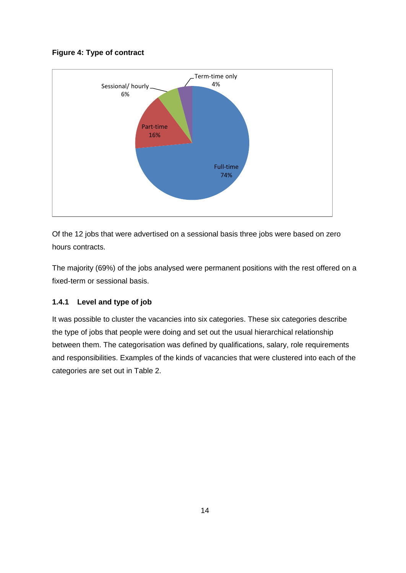#### **Figure 4: Type of contract**



Of the 12 jobs that were advertised on a sessional basis three jobs were based on zero hours contracts.

The majority (69%) of the jobs analysed were permanent positions with the rest offered on a fixed-term or sessional basis.

#### **1.4.1 Level and type of job**

It was possible to cluster the vacancies into six categories. These six categories describe the type of jobs that people were doing and set out the usual hierarchical relationship between them. The categorisation was defined by qualifications, salary, role requirements and responsibilities. Examples of the kinds of vacancies that were clustered into each of the categories are set out in Table 2.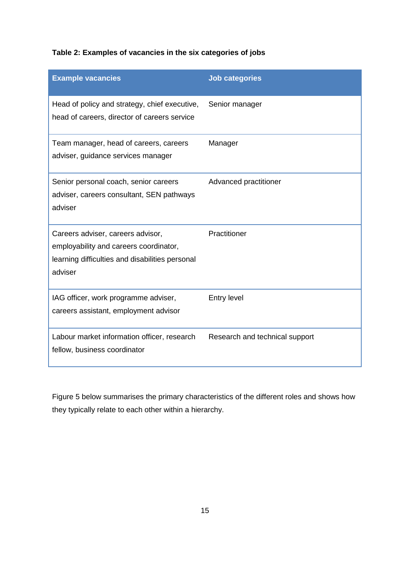## **Table 2: Examples of vacancies in the six categories of jobs**

| <b>Example vacancies</b>                                                                                                                  | <b>Job categories</b>          |
|-------------------------------------------------------------------------------------------------------------------------------------------|--------------------------------|
| Head of policy and strategy, chief executive,<br>head of careers, director of careers service                                             | Senior manager                 |
| Team manager, head of careers, careers<br>adviser, guidance services manager                                                              | Manager                        |
| Senior personal coach, senior careers<br>adviser, careers consultant, SEN pathways<br>adviser                                             | Advanced practitioner          |
| Careers adviser, careers advisor,<br>employability and careers coordinator,<br>learning difficulties and disabilities personal<br>adviser | Practitioner                   |
| IAG officer, work programme adviser,<br>careers assistant, employment advisor                                                             | Entry level                    |
| Labour market information officer, research<br>fellow, business coordinator                                                               | Research and technical support |

Figure 5 below summarises the primary characteristics of the different roles and shows how they typically relate to each other within a hierarchy.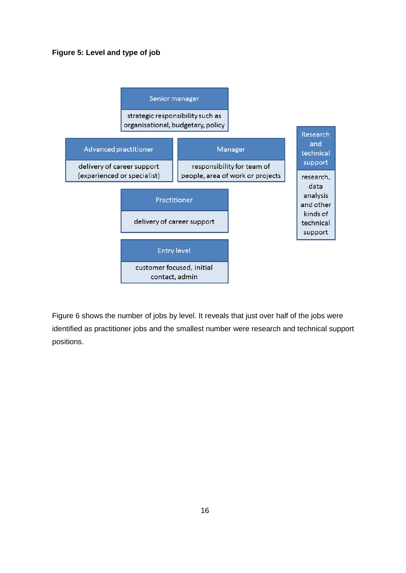#### **Figure 5: Level and type of job**



Figure 6 shows the number of jobs by level. It reveals that just over half of the jobs were identified as practitioner jobs and the smallest number were research and technical support positions.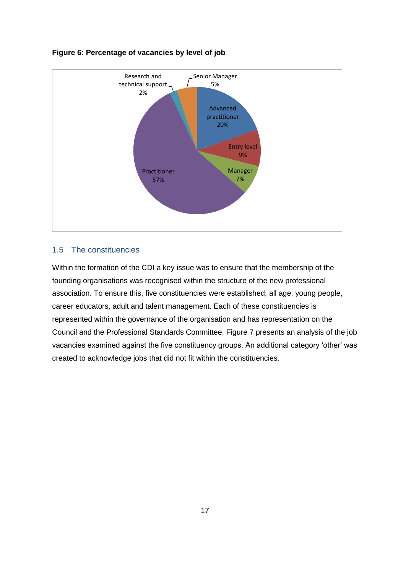

#### **Figure 6: Percentage of vacancies by level of job**

#### 1.5 The constituencies

Within the formation of the CDI a key issue was to ensure that the membership of the founding organisations was recognised within the structure of the new professional association. To ensure this, five constituencies were established; all age, young people, career educators, adult and talent management. Each of these constituencies is represented within the governance of the organisation and has representation on the Council and the Professional Standards Committee. Figure 7 presents an analysis of the job vacancies examined against the five constituency groups. An additional category 'other' was created to acknowledge jobs that did not fit within the constituencies.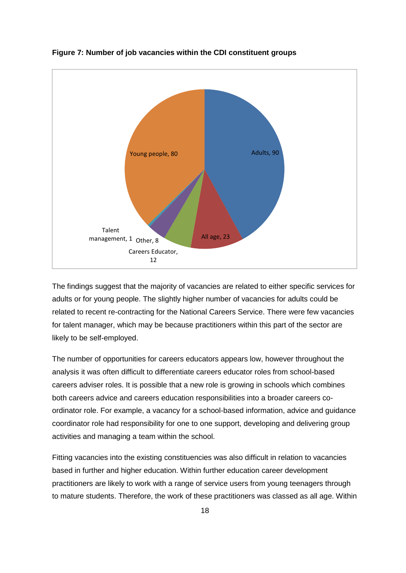

#### **Figure 7: Number of job vacancies within the CDI constituent groups**

The findings suggest that the majority of vacancies are related to either specific services for adults or for young people. The slightly higher number of vacancies for adults could be related to recent re-contracting for the National Careers Service. There were few vacancies for talent manager, which may be because practitioners within this part of the sector are likely to be self-employed.

The number of opportunities for careers educators appears low, however throughout the analysis it was often difficult to differentiate careers educator roles from school-based careers adviser roles. It is possible that a new role is growing in schools which combines both careers advice and careers education responsibilities into a broader careers coordinator role. For example, a vacancy for a school-based information, advice and guidance coordinator role had responsibility for one to one support, developing and delivering group activities and managing a team within the school.

Fitting vacancies into the existing constituencies was also difficult in relation to vacancies based in further and higher education. Within further education career development practitioners are likely to work with a range of service users from young teenagers through to mature students. Therefore, the work of these practitioners was classed as all age. Within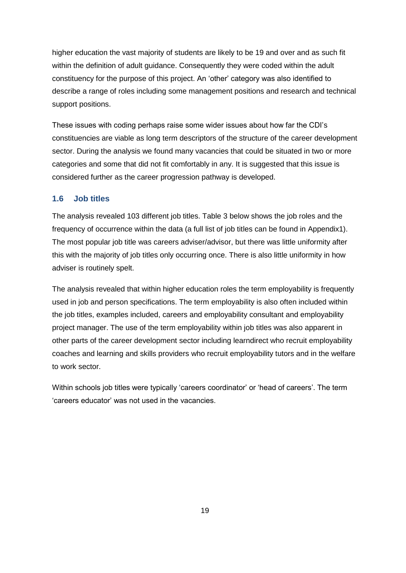higher education the vast majority of students are likely to be 19 and over and as such fit within the definition of adult guidance. Consequently they were coded within the adult constituency for the purpose of this project. An 'other' category was also identified to describe a range of roles including some management positions and research and technical support positions.

These issues with coding perhaps raise some wider issues about how far the CDI's constituencies are viable as long term descriptors of the structure of the career development sector. During the analysis we found many vacancies that could be situated in two or more categories and some that did not fit comfortably in any. It is suggested that this issue is considered further as the career progression pathway is developed.

#### **1.6 Job titles**

The analysis revealed 103 different job titles. Table 3 below shows the job roles and the frequency of occurrence within the data (a full list of job titles can be found in Appendix1). The most popular job title was careers adviser/advisor, but there was little uniformity after this with the majority of job titles only occurring once. There is also little uniformity in how adviser is routinely spelt.

The analysis revealed that within higher education roles the term employability is frequently used in job and person specifications. The term employability is also often included within the job titles, examples included, careers and employability consultant and employability project manager. The use of the term employability within job titles was also apparent in other parts of the career development sector including learndirect who recruit employability coaches and learning and skills providers who recruit employability tutors and in the welfare to work sector.

Within schools job titles were typically 'careers coordinator' or 'head of careers'. The term 'careers educator' was not used in the vacancies.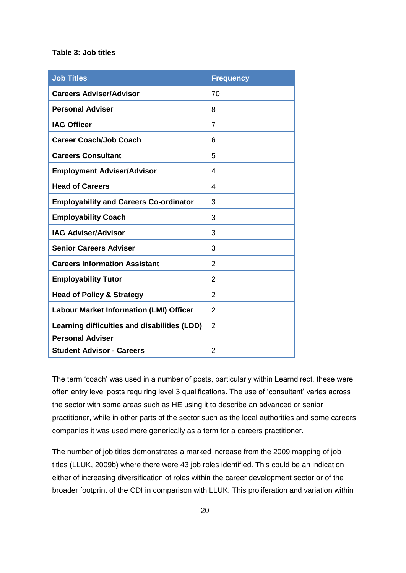#### **Table 3: Job titles**

| <b>Job Titles</b>                              | <b>Frequency</b> |
|------------------------------------------------|------------------|
| <b>Careers Adviser/Advisor</b>                 | 70               |
| <b>Personal Adviser</b>                        | 8                |
| <b>IAG Officer</b>                             | 7                |
| <b>Career Coach/Job Coach</b>                  | 6                |
| <b>Careers Consultant</b>                      | 5                |
| <b>Employment Adviser/Advisor</b>              | 4                |
| <b>Head of Careers</b>                         | 4                |
| <b>Employability and Careers Co-ordinator</b>  | 3                |
| <b>Employability Coach</b>                     | 3                |
| <b>IAG Adviser/Advisor</b>                     | 3                |
| <b>Senior Careers Adviser</b>                  | 3                |
| <b>Careers Information Assistant</b>           | 2                |
| <b>Employability Tutor</b>                     | 2                |
| <b>Head of Policy &amp; Strategy</b>           | 2                |
| <b>Labour Market Information (LMI) Officer</b> | $\overline{2}$   |
| Learning difficulties and disabilities (LDD)   | 2                |
| <b>Personal Adviser</b>                        |                  |
| <b>Student Advisor - Careers</b>               | 2                |

practitioner, while in other parts of the sector such as the local authorities and some careers The term 'coach' was used in a number of posts, particularly within Learndirect, these were often entry level posts requiring level 3 qualifications. The use of 'consultant' varies across the sector with some areas such as HE using it to describe an advanced or senior companies it was used more generically as a term for a careers practitioner.

The number of job titles demonstrates a marked increase from the 2009 mapping of job titles (LLUK, 2009b) where there were 43 job roles identified. This could be an indication either of increasing diversification of roles within the career development sector or of the broader footprint of the CDI in comparison with LLUK. This proliferation and variation within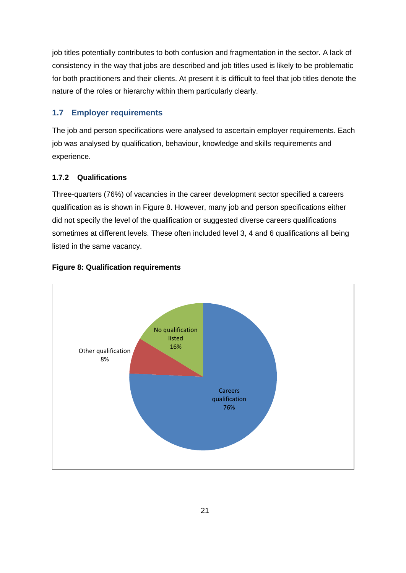job titles potentially contributes to both confusion and fragmentation in the sector. A lack of consistency in the way that jobs are described and job titles used is likely to be problematic for both practitioners and their clients. At present it is difficult to feel that job titles denote the nature of the roles or hierarchy within them particularly clearly.

## **1.7 Employer requirements**

The job and person specifications were analysed to ascertain employer requirements. Each job was analysed by qualification, behaviour, knowledge and skills requirements and experience.

## **1.7.2 Qualifications**

Three-quarters (76%) of vacancies in the career development sector specified a careers qualification as is shown in Figure 8. However, many job and person specifications either did not specify the level of the qualification or suggested diverse careers qualifications sometimes at different levels. These often included level 3, 4 and 6 qualifications all being listed in the same vacancy.



### **Figure 8: Qualification requirements**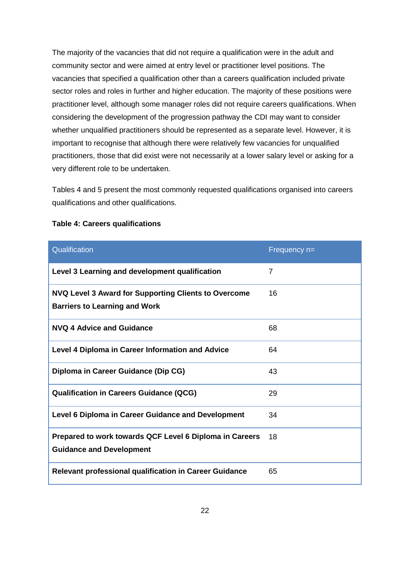The majority of the vacancies that did not require a qualification were in the adult and community sector and were aimed at entry level or practitioner level positions. The vacancies that specified a qualification other than a careers qualification included private sector roles and roles in further and higher education. The majority of these positions were practitioner level, although some manager roles did not require careers qualifications. When considering the development of the progression pathway the CDI may want to consider whether unqualified practitioners should be represented as a separate level. However, it is important to recognise that although there were relatively few vacancies for unqualified practitioners, those that did exist were not necessarily at a lower salary level or asking for a very different role to be undertaken.

Tables 4 and 5 present the most commonly requested qualifications organised into careers qualifications and other qualifications.

| Qualification                                                                                | Frequency n= |
|----------------------------------------------------------------------------------------------|--------------|
| Level 3 Learning and development qualification                                               | 7            |
| NVQ Level 3 Award for Supporting Clients to Overcome<br><b>Barriers to Learning and Work</b> | 16           |
| NVQ 4 Advice and Guidance                                                                    | 68           |
| Level 4 Diploma in Career Information and Advice                                             | 64           |
| Diploma in Career Guidance (Dip CG)                                                          | 43           |
| <b>Qualification in Careers Guidance (QCG)</b>                                               | 29           |
| Level 6 Diploma in Career Guidance and Development                                           | 34           |
| Prepared to work towards QCF Level 6 Diploma in Careers<br><b>Guidance and Development</b>   | 18           |
| <b>Relevant professional qualification in Career Guidance</b>                                | 65           |

#### **Table 4: Careers qualifications**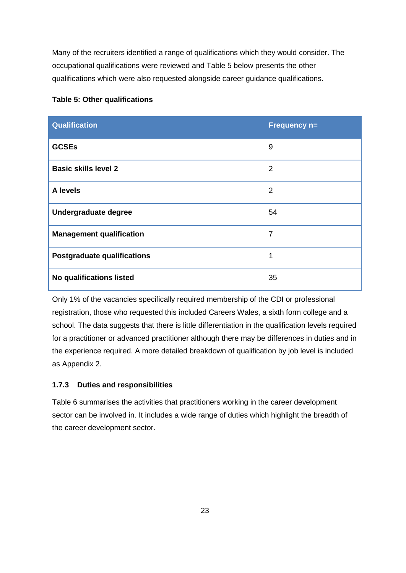Many of the recruiters identified a range of qualifications which they would consider. The occupational qualifications were reviewed and Table 5 below presents the other qualifications which were also requested alongside career guidance qualifications.

| Qualification                      | Frequency n=   |
|------------------------------------|----------------|
| <b>GCSEs</b>                       | 9              |
| <b>Basic skills level 2</b>        | $\overline{2}$ |
| A levels                           | 2              |
| Undergraduate degree               | 54             |
| <b>Management qualification</b>    | 7              |
| <b>Postgraduate qualifications</b> | 1              |
| No qualifications listed           | 35             |

### **Table 5: Other qualifications**

Only 1% of the vacancies specifically required membership of the CDI or professional registration, those who requested this included Careers Wales, a sixth form college and a school. The data suggests that there is little differentiation in the qualification levels required for a practitioner or advanced practitioner although there may be differences in duties and in the experience required. A more detailed breakdown of qualification by job level is included as Appendix 2.

### **1.7.3 Duties and responsibilities**

Table 6 summarises the activities that practitioners working in the career development sector can be involved in. It includes a wide range of duties which highlight the breadth of the career development sector.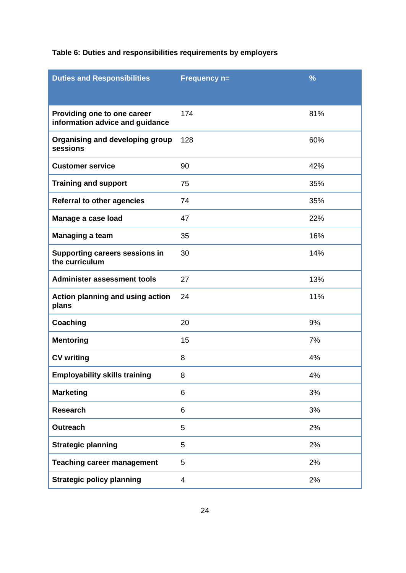| <b>Duties and Responsibilities</b>                             | <b>Frequency n=</b> | $\frac{9}{6}$ |
|----------------------------------------------------------------|---------------------|---------------|
|                                                                |                     |               |
| Providing one to one career<br>information advice and guidance | 174                 | 81%           |
| Organising and developing group<br>sessions                    | 128                 | 60%           |
| <b>Customer service</b>                                        | 90                  | 42%           |
| <b>Training and support</b>                                    | 75                  | 35%           |
| <b>Referral to other agencies</b>                              | 74                  | 35%           |
| Manage a case load                                             | 47                  | 22%           |
| <b>Managing a team</b>                                         | 35                  | 16%           |
| <b>Supporting careers sessions in</b><br>the curriculum        | 30                  | 14%           |
| <b>Administer assessment tools</b>                             | 27                  | 13%           |
| Action planning and using action<br>plans                      | 24                  | 11%           |
| Coaching                                                       | 20                  | 9%            |
| <b>Mentoring</b>                                               | 15                  | 7%            |
| <b>CV writing</b>                                              | 8                   | 4%            |
| <b>Employability skills training</b>                           | 8                   | 4%            |
| <b>Marketing</b>                                               | 6                   | 3%            |
| <b>Research</b>                                                | 6                   | 3%            |
| <b>Outreach</b>                                                | 5                   | 2%            |
| <b>Strategic planning</b>                                      | 5                   | 2%            |
| <b>Teaching career management</b>                              | 5                   | 2%            |
| <b>Strategic policy planning</b>                               | 4                   | 2%            |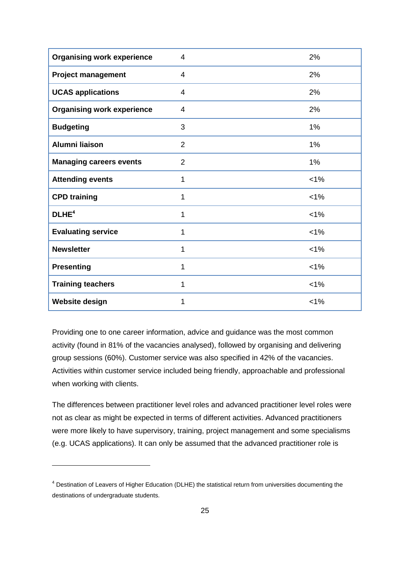| <b>Organising work experience</b> | 4              | 2%      |
|-----------------------------------|----------------|---------|
| <b>Project management</b>         | 4              | 2%      |
| <b>UCAS applications</b>          | $\overline{4}$ | 2%      |
| <b>Organising work experience</b> | 4              | 2%      |
| <b>Budgeting</b>                  | 3              | 1%      |
| Alumni liaison                    | $\overline{2}$ | 1%      |
| <b>Managing careers events</b>    | $\overline{2}$ | 1%      |
| <b>Attending events</b>           | 1              | $< 1\%$ |
| <b>CPD training</b>               | 1              | $< 1\%$ |
| DLHE <sup>4</sup>                 | 1              | $< 1\%$ |
| <b>Evaluating service</b>         | 1              | $< 1\%$ |
| <b>Newsletter</b>                 | 1              | $< 1\%$ |
| <b>Presenting</b>                 | 1              | $< 1\%$ |
| <b>Training teachers</b>          | 1              | $< 1\%$ |
| <b>Website design</b>             | 1              | 1%      |

Providing one to one career information, advice and guidance was the most common activity (found in 81% of the vacancies analysed), followed by organising and delivering group sessions (60%). Customer service was also specified in 42% of the vacancies. Activities within customer service included being friendly, approachable and professional when working with clients.

The differences between practitioner level roles and advanced practitioner level roles were not as clear as might be expected in terms of different activities. Advanced practitioners were more likely to have supervisory, training, project management and some specialisms (e.g. UCAS applications). It can only be assumed that the advanced practitioner role is

-

<sup>&</sup>lt;sup>4</sup> Destination of Leavers of Higher Education (DLHE) the statistical return from universities documenting the destinations of undergraduate students.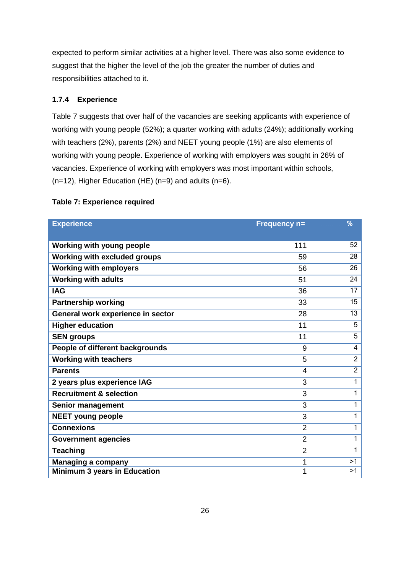expected to perform similar activities at a higher level. There was also some evidence to suggest that the higher the level of the job the greater the number of duties and responsibilities attached to it.

#### **1.7.4 Experience**

Table 7 suggests that over half of the vacancies are seeking applicants with experience of working with young people (52%); a quarter working with adults (24%); additionally working with teachers (2%), parents (2%) and NEET young people (1%) are also elements of working with young people. Experience of working with employers was sought in 26% of vacancies. Experience of working with employers was most important within schools, (n=12), Higher Education (HE) (n=9) and adults (n=6).

#### **Table 7: Experience required**

| <b>Experience</b>                  | <b>Frequency n=</b> | %              |
|------------------------------------|---------------------|----------------|
| Working with young people          | 111                 | 52             |
| Working with excluded groups       | 59                  | 28             |
| <b>Working with employers</b>      | 56                  | 26             |
| <b>Working with adults</b>         | 51                  | 24             |
| <b>IAG</b>                         | 36                  | 17             |
| <b>Partnership working</b>         | 33                  | 15             |
| General work experience in sector  | 28                  | 13             |
| <b>Higher education</b>            | 11                  | 5              |
| <b>SEN groups</b>                  | 11                  | 5              |
| People of different backgrounds    | 9                   | 4              |
| <b>Working with teachers</b>       | 5                   | $\overline{2}$ |
| <b>Parents</b>                     | $\overline{4}$      | $\overline{2}$ |
| 2 years plus experience IAG        | 3                   | 1              |
| <b>Recruitment &amp; selection</b> | 3                   | 1              |
| Senior management                  | 3                   | 1              |
| <b>NEET young people</b>           | 3                   | 1              |
| <b>Connexions</b>                  | $\overline{2}$      | 1              |
| <b>Government agencies</b>         | $\overline{2}$      | 1              |
| <b>Teaching</b>                    | $\overline{2}$      | 1              |
| <b>Managing a company</b>          | 1                   | >1             |
| Minimum 3 years in Education       | 1                   | >1             |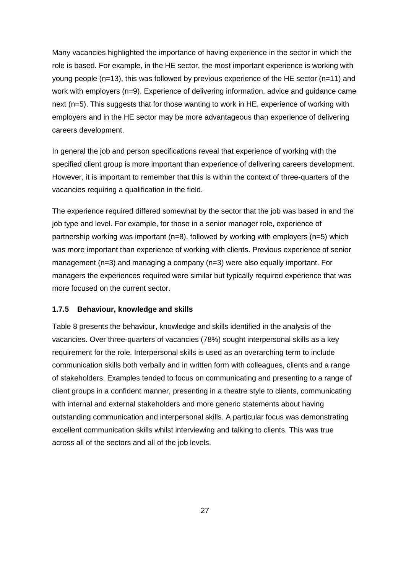Many vacancies highlighted the importance of having experience in the sector in which the role is based. For example, in the HE sector, the most important experience is working with young people  $(n=13)$ , this was followed by previous experience of the HE sector  $(n=11)$  and work with employers (n=9). Experience of delivering information, advice and quidance came next (n=5). This suggests that for those wanting to work in HE, experience of working with employers and in the HE sector may be more advantageous than experience of delivering careers development.

In general the job and person specifications reveal that experience of working with the specified client group is more important than experience of delivering careers development. However, it is important to remember that this is within the context of three-quarters of the vacancies requiring a qualification in the field.

The experience required differed somewhat by the sector that the job was based in and the job type and level. For example, for those in a senior manager role, experience of partnership working was important (n=8), followed by working with employers (n=5) which was more important than experience of working with clients. Previous experience of senior management (n=3) and managing a company (n=3) were also equally important. For managers the experiences required were similar but typically required experience that was more focused on the current sector.

#### **1.7.5 Behaviour, knowledge and skills**

Table 8 presents the behaviour, knowledge and skills identified in the analysis of the vacancies. Over three-quarters of vacancies (78%) sought interpersonal skills as a key requirement for the role. Interpersonal skills is used as an overarching term to include communication skills both verbally and in written form with colleagues, clients and a range of stakeholders. Examples tended to focus on communicating and presenting to a range of client groups in a confident manner, presenting in a theatre style to clients, communicating with internal and external stakeholders and more generic statements about having outstanding communication and interpersonal skills. A particular focus was demonstrating excellent communication skills whilst interviewing and talking to clients. This was true across all of the sectors and all of the job levels.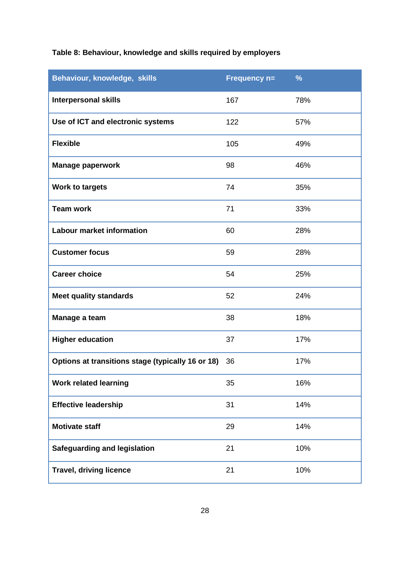# **Table 8: Behaviour, knowledge and skills required by employers**

| Behaviour, knowledge, skills                      | Frequency n= | $\frac{9}{6}$ |
|---------------------------------------------------|--------------|---------------|
| <b>Interpersonal skills</b>                       | 167          | 78%           |
| Use of ICT and electronic systems                 | 122          | 57%           |
| <b>Flexible</b>                                   | 105          | 49%           |
| <b>Manage paperwork</b>                           | 98           | 46%           |
| <b>Work to targets</b>                            | 74           | 35%           |
| <b>Team work</b>                                  | 71           | 33%           |
| <b>Labour market information</b>                  | 60           | 28%           |
| <b>Customer focus</b>                             | 59           | 28%           |
| <b>Career choice</b>                              | 54           | 25%           |
| <b>Meet quality standards</b>                     | 52           | 24%           |
| Manage a team                                     | 38           | 18%           |
| <b>Higher education</b>                           | 37           | 17%           |
| Options at transitions stage (typically 16 or 18) | 36           | 17%           |
| <b>Work related learning</b>                      | 35           | 16%           |
| <b>Effective leadership</b>                       | 31           | 14%           |
| <b>Motivate staff</b>                             | 29           | 14%           |
| <b>Safeguarding and legislation</b>               | 21           | 10%           |
| <b>Travel, driving licence</b>                    | 21           | 10%           |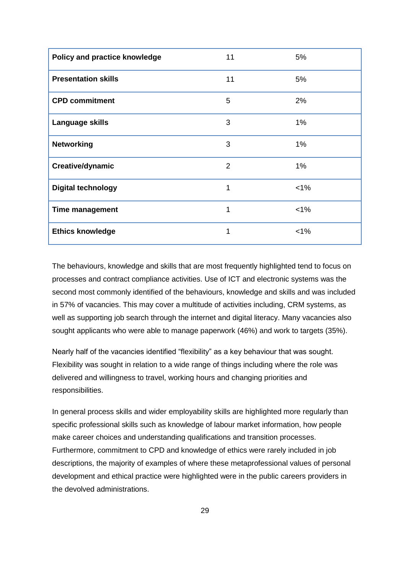| Policy and practice knowledge | 11             | 5%      |
|-------------------------------|----------------|---------|
| <b>Presentation skills</b>    | 11             | 5%      |
| <b>CPD commitment</b>         | 5              | 2%      |
| Language skills               | 3              | 1%      |
| <b>Networking</b>             | 3              | 1%      |
| Creative/dynamic              | $\overline{2}$ | 1%      |
| <b>Digital technology</b>     | 1              | $< 1\%$ |
| <b>Time management</b>        | 1              | $< 1\%$ |
| <b>Ethics knowledge</b>       | 1              | $< 1\%$ |

The behaviours, knowledge and skills that are most frequently highlighted tend to focus on processes and contract compliance activities. Use of ICT and electronic systems was the second most commonly identified of the behaviours, knowledge and skills and was included in 57% of vacancies. This may cover a multitude of activities including, CRM systems, as well as supporting job search through the internet and digital literacy. Many vacancies also sought applicants who were able to manage paperwork (46%) and work to targets (35%).

Nearly half of the vacancies identified "flexibility" as a key behaviour that was sought. Flexibility was sought in relation to a wide range of things including where the role was delivered and willingness to travel, working hours and changing priorities and responsibilities.

In general process skills and wider employability skills are highlighted more regularly than specific professional skills such as knowledge of labour market information, how people make career choices and understanding qualifications and transition processes. Furthermore, commitment to CPD and knowledge of ethics were rarely included in job descriptions, the majority of examples of where these metaprofessional values of personal development and ethical practice were highlighted were in the public careers providers in the devolved administrations.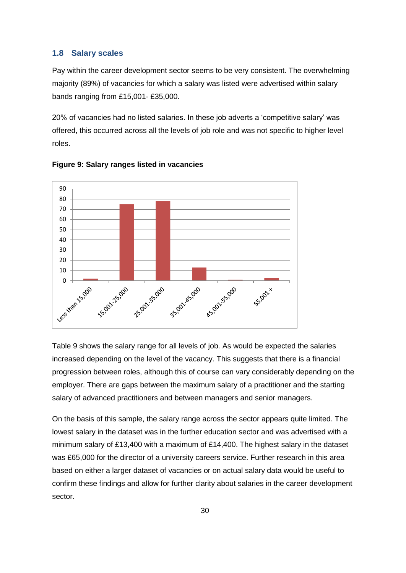#### **1.8 Salary scales**

Pay within the career development sector seems to be very consistent. The overwhelming majority (89%) of vacancies for which a salary was listed were advertised within salary bands ranging from £15,001- £35,000.

20% of vacancies had no listed salaries. In these job adverts a 'competitive salary' was offered, this occurred across all the levels of job role and was not specific to higher level roles.



**Figure 9: Salary ranges listed in vacancies**

Table 9 shows the salary range for all levels of job. As would be expected the salaries increased depending on the level of the vacancy. This suggests that there is a financial progression between roles, although this of course can vary considerably depending on the employer. There are gaps between the maximum salary of a practitioner and the starting salary of advanced practitioners and between managers and senior managers.

On the basis of this sample, the salary range across the sector appears quite limited. The lowest salary in the dataset was in the further education sector and was advertised with a minimum salary of £13,400 with a maximum of £14,400. The highest salary in the dataset was £65,000 for the director of a university careers service. Further research in this area based on either a larger dataset of vacancies or on actual salary data would be useful to confirm these findings and allow for further clarity about salaries in the career development sector.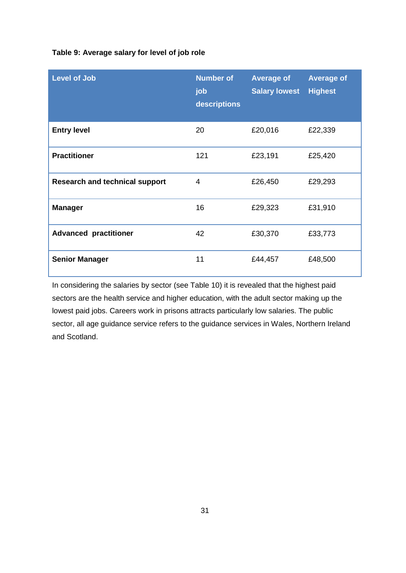#### **Table 9: Average salary for level of job role**

| <b>Level of Job</b>                   | <b>Number of</b><br>job<br>descriptions | <b>Average of</b><br><b>Salary lowest</b> | <b>Average of</b><br><b>Highest</b> |  |
|---------------------------------------|-----------------------------------------|-------------------------------------------|-------------------------------------|--|
| <b>Entry level</b>                    | 20                                      | £20,016                                   | £22,339                             |  |
| <b>Practitioner</b>                   | 121                                     | £23,191                                   | £25,420                             |  |
| <b>Research and technical support</b> | 4                                       | £26,450                                   | £29,293                             |  |
| <b>Manager</b>                        | 16                                      | £29,323                                   | £31,910                             |  |
| <b>Advanced practitioner</b>          | 42                                      | £30,370                                   | £33,773                             |  |
| <b>Senior Manager</b>                 | 11                                      | £44,457                                   | £48,500                             |  |

In considering the salaries by sector (see Table 10) it is revealed that the highest paid sectors are the health service and higher education, with the adult sector making up the lowest paid jobs. Careers work in prisons attracts particularly low salaries. The public sector, all age guidance service refers to the guidance services in Wales, Northern Ireland and Scotland.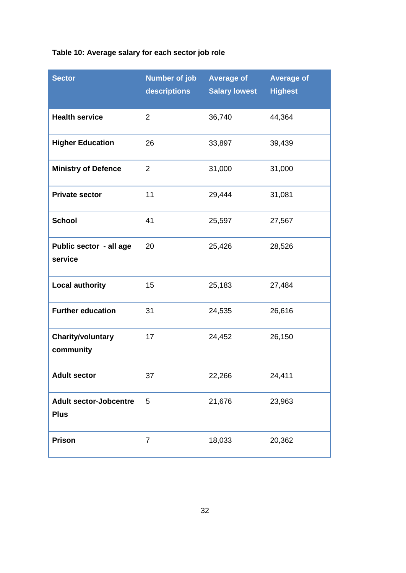# **Table 10: Average salary for each sector job role**

| <b>Sector</b>                                | <b>Number of job</b><br>descriptions | <b>Average of</b><br><b>Salary lowest</b> | <b>Average of</b><br><b>Highest</b> |
|----------------------------------------------|--------------------------------------|-------------------------------------------|-------------------------------------|
| <b>Health service</b>                        | $\overline{2}$                       | 36,740                                    | 44,364                              |
| <b>Higher Education</b>                      | 26                                   | 33,897                                    | 39,439                              |
| <b>Ministry of Defence</b>                   | $\overline{2}$                       | 31,000                                    | 31,000                              |
| <b>Private sector</b>                        | 11                                   | 29,444                                    | 31,081                              |
| <b>School</b>                                | 41                                   | 25,597                                    | 27,567                              |
| Public sector - all age<br>service           | 20                                   | 25,426                                    | 28,526                              |
| <b>Local authority</b>                       | 15                                   | 25,183                                    | 27,484                              |
| <b>Further education</b>                     | 31                                   | 24,535                                    | 26,616                              |
| <b>Charity/voluntary</b><br>community        | 17                                   | 24,452                                    | 26,150                              |
| <b>Adult sector</b>                          | 37                                   | 22,266                                    | 24,411                              |
| <b>Adult sector-Jobcentre</b><br><b>Plus</b> | 5                                    | 21,676                                    | 23,963                              |
| <b>Prison</b>                                | $\overline{7}$                       | 18,033                                    | 20,362                              |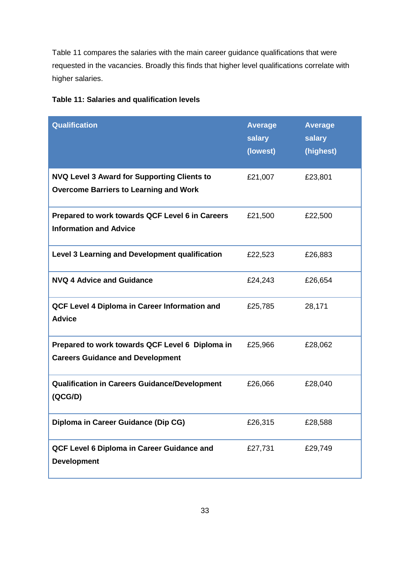Table 11 compares the salaries with the main career guidance qualifications that were requested in the vacancies. Broadly this finds that higher level qualifications correlate with higher salaries.

| <b>Qualification</b>                                                                                | <b>Average</b><br>salary<br>(lowest) | <b>Average</b><br>salary<br>(highest) |
|-----------------------------------------------------------------------------------------------------|--------------------------------------|---------------------------------------|
| <b>NVQ Level 3 Award for Supporting Clients to</b><br><b>Overcome Barriers to Learning and Work</b> | £21,007                              | £23,801                               |
| Prepared to work towards QCF Level 6 in Careers<br><b>Information and Advice</b>                    | £21,500                              | £22,500                               |
| Level 3 Learning and Development qualification                                                      | £22,523                              | £26,883                               |
| <b>NVQ 4 Advice and Guidance</b>                                                                    | £24,243                              | £26,654                               |
| QCF Level 4 Diploma in Career Information and<br><b>Advice</b>                                      | £25,785                              | 28,171                                |
| Prepared to work towards QCF Level 6 Diploma in<br><b>Careers Guidance and Development</b>          | £25,966                              | £28,062                               |
| <b>Qualification in Careers Guidance/Development</b><br>(QCG/D)                                     | £26,066                              | £28,040                               |
| Diploma in Career Guidance (Dip CG)                                                                 | £26,315                              | £28,588                               |
| QCF Level 6 Diploma in Career Guidance and<br><b>Development</b>                                    | £27,731                              | £29,749                               |

## **Table 11: Salaries and qualification levels**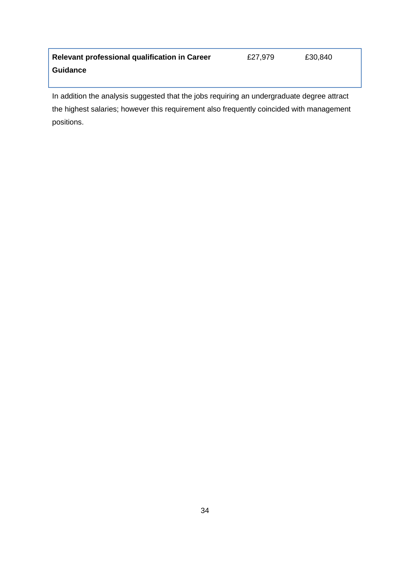| <b>Relevant professional qualification in Career</b> | £27,979 | £30,840 |
|------------------------------------------------------|---------|---------|
| <b>Guidance</b>                                      |         |         |

In addition the analysis suggested that the jobs requiring an undergraduate degree attract the highest salaries; however this requirement also frequently coincided with management positions.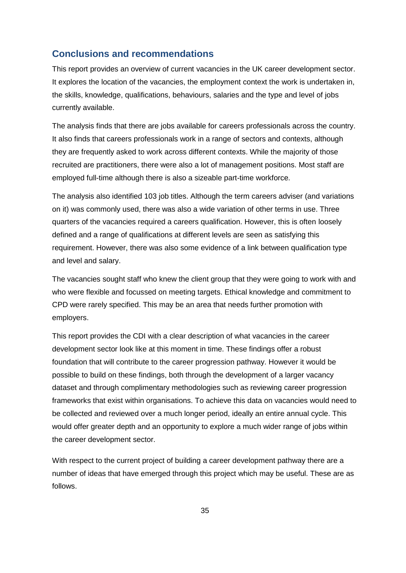## **Conclusions and recommendations**

This report provides an overview of current vacancies in the UK career development sector. It explores the location of the vacancies, the employment context the work is undertaken in, the skills, knowledge, qualifications, behaviours, salaries and the type and level of jobs currently available.

The analysis finds that there are jobs available for careers professionals across the country. It also finds that careers professionals work in a range of sectors and contexts, although they are frequently asked to work across different contexts. While the majority of those recruited are practitioners, there were also a lot of management positions. Most staff are employed full-time although there is also a sizeable part-time workforce.

The analysis also identified 103 job titles. Although the term careers adviser (and variations on it) was commonly used, there was also a wide variation of other terms in use. Three quarters of the vacancies required a careers qualification. However, this is often loosely defined and a range of qualifications at different levels are seen as satisfying this requirement. However, there was also some evidence of a link between qualification type and level and salary.

The vacancies sought staff who knew the client group that they were going to work with and who were flexible and focussed on meeting targets. Ethical knowledge and commitment to CPD were rarely specified. This may be an area that needs further promotion with employers.

This report provides the CDI with a clear description of what vacancies in the career development sector look like at this moment in time. These findings offer a robust foundation that will contribute to the career progression pathway. However it would be possible to build on these findings, both through the development of a larger vacancy dataset and through complimentary methodologies such as reviewing career progression frameworks that exist within organisations. To achieve this data on vacancies would need to be collected and reviewed over a much longer period, ideally an entire annual cycle. This would offer greater depth and an opportunity to explore a much wider range of jobs within the career development sector.

With respect to the current project of building a career development pathway there are a number of ideas that have emerged through this project which may be useful. These are as follows.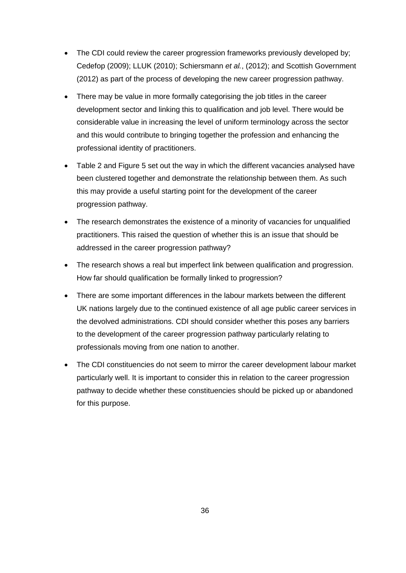- The CDI could review the career progression frameworks previously developed by; Cedefop (2009); LLUK (2010); Schiersmann *et al.*, (2012); and Scottish Government (2012) as part of the process of developing the new career progression pathway.
- There may be value in more formally categorising the job titles in the career development sector and linking this to qualification and job level. There would be considerable value in increasing the level of uniform terminology across the sector and this would contribute to bringing together the profession and enhancing the professional identity of practitioners.
- Table 2 and Figure 5 set out the way in which the different vacancies analysed have been clustered together and demonstrate the relationship between them. As such this may provide a useful starting point for the development of the career progression pathway.
- The research demonstrates the existence of a minority of vacancies for unqualified practitioners. This raised the question of whether this is an issue that should be addressed in the career progression pathway?
- The research shows a real but imperfect link between qualification and progression. How far should qualification be formally linked to progression?
- There are some important differences in the labour markets between the different UK nations largely due to the continued existence of all age public career services in the devolved administrations. CDI should consider whether this poses any barriers to the development of the career progression pathway particularly relating to professionals moving from one nation to another.
- The CDI constituencies do not seem to mirror the career development labour market particularly well. It is important to consider this in relation to the career progression pathway to decide whether these constituencies should be picked up or abandoned for this purpose.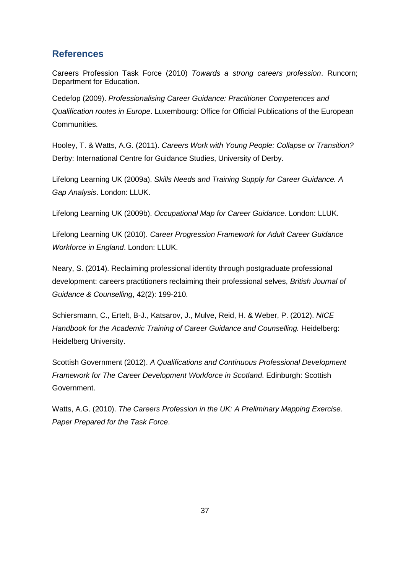## **References**

Careers Profession Task Force (2010) *Towards a strong careers profession*. Runcorn; Department for Education.

Cedefop (2009). *Professionalising Career Guidance: Practitioner Competences and Qualification routes in Europe*. Luxembourg: Office for Official Publications of the European Communities.

Hooley, T. & Watts, A.G. (2011). *[Careers Work with Young People: Collapse or Transition?](http://derby.openrepository.com/derby/handle/10545/196706)* Derby: International Centre for Guidance Studies, University of Derby.

Lifelong Learning UK (2009a). *Skills Needs and Training Supply for Career Guidance. A Gap Analysis*. London: LLUK.

Lifelong Learning UK (2009b). *Occupational Map for Career Guidance.* London: LLUK.

Lifelong Learning UK (2010). *Career Progression Framework for Adult Career Guidance Workforce in England*. London: LLUK.

Neary, S. (2014). Reclaiming professional identity through postgraduate professional development: careers practitioners reclaiming their professional selves, *[British Journal of](http://www.tandfonline.com/doi/abs/10.1080/03069885.2013.869790#.Us0iE_vXPbI)  [Guidance & Counselling](http://www.tandfonline.com/doi/abs/10.1080/03069885.2013.869790#.Us0iE_vXPbI)*, 42(2): 199-210.

Schiersmann, C., Ertelt, B-J., Katsarov, J., Mulve, Reid, H. & Weber, P. (2012). *NICE Handbook for the Academic Training of Career Guidance and Counselling.* Heidelberg: Heidelberg University.

Scottish Government (2012). *A Qualifications and Continuous Professional Development Framework for The Career Development Workforce in Scotland*. Edinburgh: Scottish Government.

Watts, A.G. (2010). *The Careers Profession in the UK: A Preliminary Mapping Exercise. Paper Prepared for the Task Force*.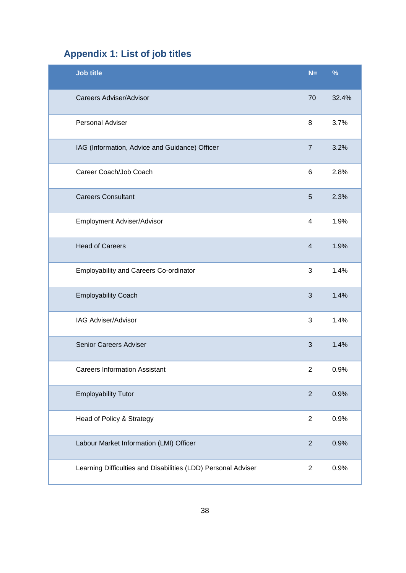# **Appendix 1: List of job titles**

| <b>Job title</b>                                              | $N=$            | %     |
|---------------------------------------------------------------|-----------------|-------|
| <b>Careers Adviser/Advisor</b>                                | 70              | 32.4% |
| Personal Adviser                                              | 8               | 3.7%  |
| IAG (Information, Advice and Guidance) Officer                | $\overline{7}$  | 3.2%  |
| Career Coach/Job Coach                                        | 6               | 2.8%  |
| <b>Careers Consultant</b>                                     | $5\phantom{.0}$ | 2.3%  |
| Employment Adviser/Advisor                                    | $\overline{4}$  | 1.9%  |
| <b>Head of Careers</b>                                        | $\overline{4}$  | 1.9%  |
| <b>Employability and Careers Co-ordinator</b>                 | 3               | 1.4%  |
| <b>Employability Coach</b>                                    | 3               | 1.4%  |
| IAG Adviser/Advisor                                           | 3               | 1.4%  |
| Senior Careers Adviser                                        | 3               | 1.4%  |
| <b>Careers Information Assistant</b>                          | $\overline{2}$  | 0.9%  |
| <b>Employability Tutor</b>                                    | $\sqrt{2}$      | 0.9%  |
| Head of Policy & Strategy                                     | $\overline{2}$  | 0.9%  |
| Labour Market Information (LMI) Officer                       | $\mathbf{2}$    | 0.9%  |
| Learning Difficulties and Disabilities (LDD) Personal Adviser | $\mathbf{2}$    | 0.9%  |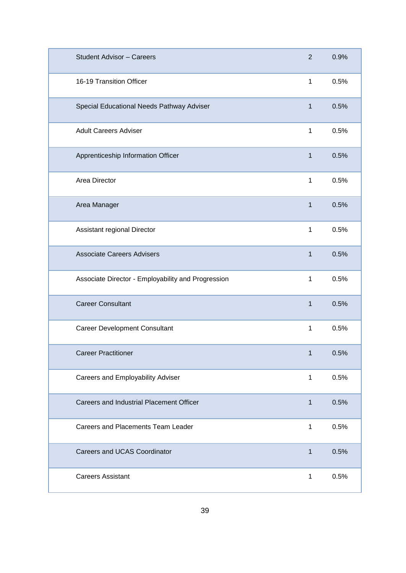| <b>Student Advisor - Careers</b>                   | $\overline{2}$ | 0.9% |
|----------------------------------------------------|----------------|------|
| 16-19 Transition Officer                           | 1              | 0.5% |
| Special Educational Needs Pathway Adviser          | $\mathbf{1}$   | 0.5% |
| <b>Adult Careers Adviser</b>                       | 1              | 0.5% |
| Apprenticeship Information Officer                 | $\mathbf{1}$   | 0.5% |
| Area Director                                      | 1              | 0.5% |
| Area Manager                                       | 1              | 0.5% |
| Assistant regional Director                        | 1              | 0.5% |
| <b>Associate Careers Advisers</b>                  | 1              | 0.5% |
| Associate Director - Employability and Progression | 1              | 0.5% |
| <b>Career Consultant</b>                           | $\mathbf{1}$   | 0.5% |
| <b>Career Development Consultant</b>               | 1              | 0.5% |
| <b>Career Practitioner</b>                         | $\mathbf 1$    | 0.5% |
| Careers and Employability Adviser                  | $\mathbf{1}$   | 0.5% |
| Careers and Industrial Placement Officer           | 1              | 0.5% |
| Careers and Placements Team Leader                 | 1              | 0.5% |
| <b>Careers and UCAS Coordinator</b>                | $\mathbf{1}$   | 0.5% |
| <b>Careers Assistant</b>                           | $\mathbf{1}$   | 0.5% |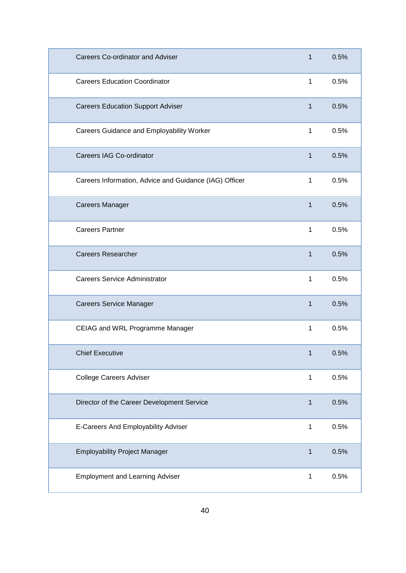| <b>Careers Co-ordinator and Adviser</b>                | 1            | 0.5% |
|--------------------------------------------------------|--------------|------|
| <b>Careers Education Coordinator</b>                   | 1            | 0.5% |
| <b>Careers Education Support Adviser</b>               | $\mathbf{1}$ | 0.5% |
| Careers Guidance and Employability Worker              | 1            | 0.5% |
| Careers IAG Co-ordinator                               | $\mathbf{1}$ | 0.5% |
| Careers Information, Advice and Guidance (IAG) Officer | 1            | 0.5% |
| <b>Careers Manager</b>                                 | 1            | 0.5% |
| <b>Careers Partner</b>                                 | 1            | 0.5% |
| <b>Careers Researcher</b>                              | 1            | 0.5% |
| <b>Careers Service Administrator</b>                   | 1            | 0.5% |
| <b>Careers Service Manager</b>                         | 1            | 0.5% |
| CEIAG and WRL Programme Manager                        | 1            | 0.5% |
| <b>Chief Executive</b>                                 | 1            | 0.5% |
| <b>College Careers Adviser</b>                         | 1            | 0.5% |
| Director of the Career Development Service             | 1            | 0.5% |
| E-Careers And Employability Adviser                    | 1            | 0.5% |
| <b>Employability Project Manager</b>                   | 1            | 0.5% |
| <b>Employment and Learning Adviser</b>                 | 1            | 0.5% |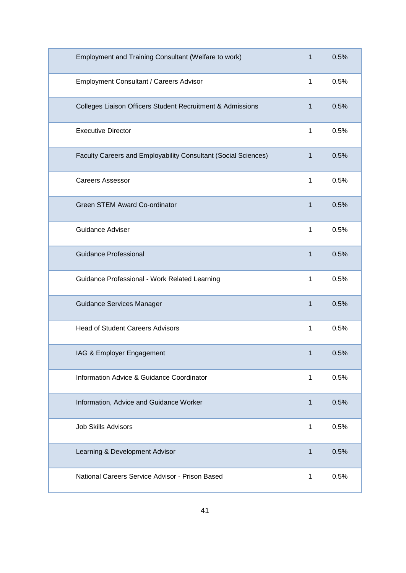| Employment and Training Consultant (Welfare to work)           | 1            | 0.5% |
|----------------------------------------------------------------|--------------|------|
| Employment Consultant / Careers Advisor                        | 1            | 0.5% |
| Colleges Liaison Officers Student Recruitment & Admissions     | $\mathbf{1}$ | 0.5% |
| <b>Executive Director</b>                                      | 1            | 0.5% |
| Faculty Careers and Employability Consultant (Social Sciences) | $\mathbf{1}$ | 0.5% |
| <b>Careers Assessor</b>                                        | 1            | 0.5% |
| <b>Green STEM Award Co-ordinator</b>                           | $\mathbf{1}$ | 0.5% |
| <b>Guidance Adviser</b>                                        | 1            | 0.5% |
| <b>Guidance Professional</b>                                   | $\mathbf{1}$ | 0.5% |
| Guidance Professional - Work Related Learning                  | 1            | 0.5% |
| <b>Guidance Services Manager</b>                               | 1            | 0.5% |
| <b>Head of Student Careers Advisors</b>                        | 1            | 0.5% |
| IAG & Employer Engagement                                      | 1            | 0.5% |
| Information Advice & Guidance Coordinator                      | 1            | 0.5% |
| Information, Advice and Guidance Worker                        | 1            | 0.5% |
| <b>Job Skills Advisors</b>                                     | 1            | 0.5% |
| Learning & Development Advisor                                 | 1            | 0.5% |
| National Careers Service Advisor - Prison Based                | 1            | 0.5% |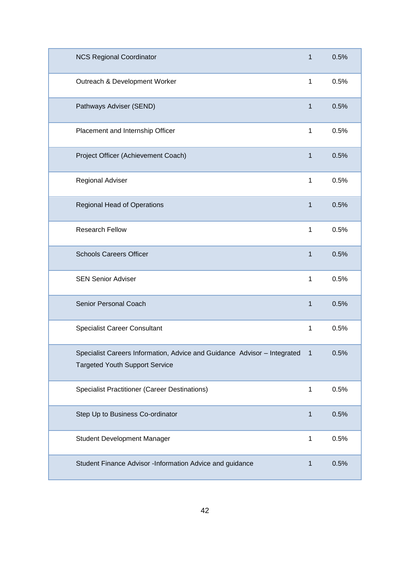| <b>NCS Regional Coordinator</b>                                                                                     | 1            | 0.5% |
|---------------------------------------------------------------------------------------------------------------------|--------------|------|
| Outreach & Development Worker                                                                                       | 1            | 0.5% |
| Pathways Adviser (SEND)                                                                                             | $\mathbf{1}$ | 0.5% |
| Placement and Internship Officer                                                                                    | 1            | 0.5% |
| Project Officer (Achievement Coach)                                                                                 | $\mathbf{1}$ | 0.5% |
| Regional Adviser                                                                                                    | 1            | 0.5% |
| <b>Regional Head of Operations</b>                                                                                  | 1            | 0.5% |
| <b>Research Fellow</b>                                                                                              | 1            | 0.5% |
| <b>Schools Careers Officer</b>                                                                                      | 1            | 0.5% |
| <b>SEN Senior Adviser</b>                                                                                           | 1            | 0.5% |
| Senior Personal Coach                                                                                               | $\mathbf{1}$ | 0.5% |
| <b>Specialist Career Consultant</b>                                                                                 | 1            | 0.5% |
| Specialist Careers Information, Advice and Guidance Advisor - Integrated 1<br><b>Targeted Youth Support Service</b> |              | 0.5% |
| <b>Specialist Practitioner (Career Destinations)</b>                                                                | 1            | 0.5% |
| Step Up to Business Co-ordinator                                                                                    | 1            | 0.5% |
| <b>Student Development Manager</b>                                                                                  | 1            | 0.5% |
| Student Finance Advisor -Information Advice and guidance                                                            | 1            | 0.5% |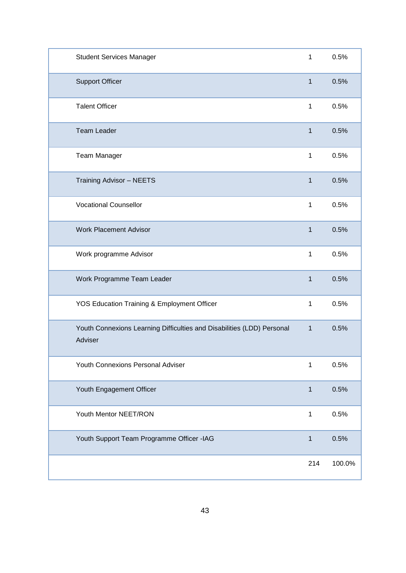| <b>Student Services Manager</b>                                                   | 1            | 0.5%   |
|-----------------------------------------------------------------------------------|--------------|--------|
| <b>Support Officer</b>                                                            | $\mathbf{1}$ | 0.5%   |
| <b>Talent Officer</b>                                                             | 1            | 0.5%   |
| <b>Team Leader</b>                                                                | $\mathbf{1}$ | 0.5%   |
| Team Manager                                                                      | 1            | 0.5%   |
| <b>Training Advisor - NEETS</b>                                                   | $\mathbf{1}$ | 0.5%   |
| <b>Vocational Counsellor</b>                                                      | $\mathbf{1}$ | 0.5%   |
| <b>Work Placement Advisor</b>                                                     | $\mathbf{1}$ | 0.5%   |
| Work programme Advisor                                                            | 1            | 0.5%   |
| Work Programme Team Leader                                                        | $\mathbf{1}$ | 0.5%   |
| YOS Education Training & Employment Officer                                       | 1            | 0.5%   |
| Youth Connexions Learning Difficulties and Disabilities (LDD) Personal<br>Adviser | $\mathbf{1}$ | 0.5%   |
| Youth Connexions Personal Adviser                                                 | 1            | 0.5%   |
| Youth Engagement Officer                                                          | 1            | 0.5%   |
| Youth Mentor NEET/RON                                                             | 1            | 0.5%   |
| Youth Support Team Programme Officer -IAG                                         | $\mathbf{1}$ | 0.5%   |
|                                                                                   | 214          | 100.0% |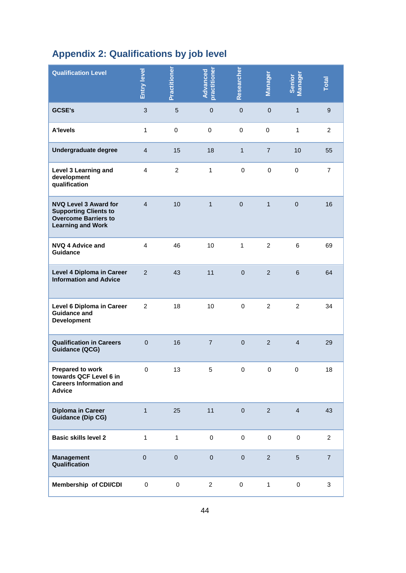# **Appendix 2: Qualifications by job level**

| <b>Qualification Level</b>                                                                                              | Entry level    | Practitioner   | practitioner<br>Advanced | Researcher          | Manager        | Manager<br>Senior | Total            |
|-------------------------------------------------------------------------------------------------------------------------|----------------|----------------|--------------------------|---------------------|----------------|-------------------|------------------|
| <b>GCSE's</b>                                                                                                           | $\mathbf{3}$   | $\overline{5}$ | $\pmb{0}$                | $\mathbf 0$         | $\pmb{0}$      | $\mathbf{1}$      | $\boldsymbol{9}$ |
| <b>A'levels</b>                                                                                                         | 1              | $\pmb{0}$      | $\mathbf 0$              | 0                   | $\mathbf 0$    | $\mathbf{1}$      | $\overline{c}$   |
| Undergraduate degree                                                                                                    | 4              | 15             | 18                       | $\mathbf{1}$        | $\overline{7}$ | 10                | 55               |
| Level 3 Learning and<br>development<br>qualification                                                                    | 4              | $\overline{c}$ | $\mathbf{1}$             | $\mathbf 0$         | $\pmb{0}$      | $\pmb{0}$         | $\overline{7}$   |
| <b>NVQ Level 3 Award for</b><br><b>Supporting Clients to</b><br><b>Overcome Barriers to</b><br><b>Learning and Work</b> | $\overline{4}$ | 10             | $\mathbf{1}$             | $\pmb{0}$           | $\mathbf{1}$   | $\pmb{0}$         | 16               |
| <b>NVQ 4 Advice and</b><br><b>Guidance</b>                                                                              | 4              | 46             | 10                       | $\mathbf{1}$        | $\overline{2}$ | 6                 | 69               |
| Level 4 Diploma in Career<br><b>Information and Advice</b>                                                              | $\overline{2}$ | 43             | 11                       | $\mathbf{0}$        | $\overline{2}$ | $\,6$             | 64               |
| Level 6 Diploma in Career<br><b>Guidance and</b><br><b>Development</b>                                                  | $\overline{2}$ | 18             | 10                       | $\pmb{0}$           | $\overline{2}$ | $\overline{2}$    | 34               |
| <b>Qualification in Careers</b><br><b>Guidance (QCG)</b>                                                                | $\mathbf 0$    | 16             | $\overline{7}$           | $\pmb{0}$           | $\overline{2}$ | $\overline{4}$    | 29               |
| <b>Prepared to work</b><br>towards QCF Level 6 in<br><b>Careers Information and</b><br><b>Advice</b>                    | 0              | 13             | 5                        | $\mathbf 0$         | $\pmb{0}$      | $\pmb{0}$         | $18$             |
| Diploma in Career<br><b>Guidance (Dip CG)</b>                                                                           | $\mathbf{1}$   | 25             | 11                       | $\mathsf{O}\xspace$ | $\overline{2}$ | $\overline{4}$    | 43               |
| <b>Basic skills level 2</b>                                                                                             | $\mathbf{1}$   | $\mathbf{1}$   | $\pmb{0}$                | $\mathsf 0$         | $\pmb{0}$      | 0                 | $\overline{a}$   |
| <b>Management</b><br>Qualification                                                                                      | $\mathbf 0$    | $\pmb{0}$      | $\pmb{0}$                | $\pmb{0}$           | $\overline{2}$ | $\overline{5}$    | $\overline{7}$   |
| Membership of CDI/CDI                                                                                                   | $\pmb{0}$      | 0              | $\overline{2}$           | 0                   | $\mathbf{1}$   | 0                 | 3                |